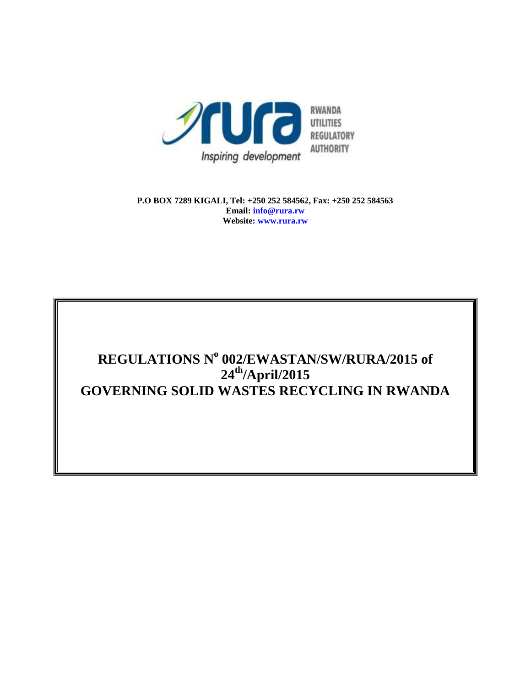

**P.O BOX 7289 KIGALI, Tel: +250 252 584562, Fax: +250 252 584563 Email: info@rura.rw Website: www.rura.rw**

# **REGULATIONS N o 002/EWASTAN/SW/RURA/2015 of 24th/April/2015 GOVERNING SOLID WASTES RECYCLING IN RWANDA**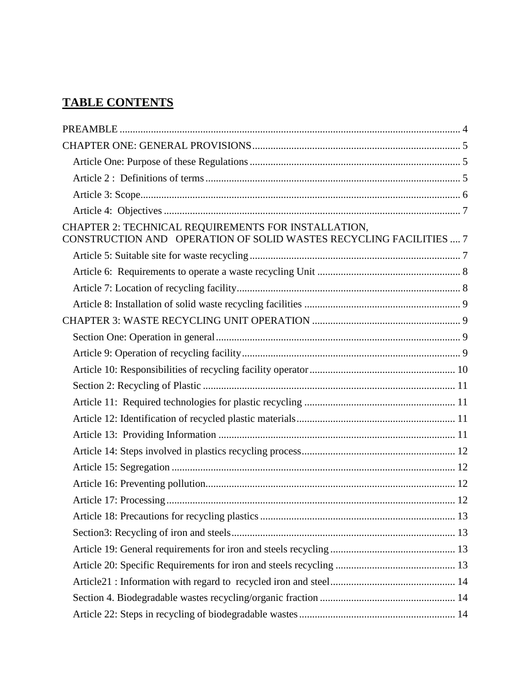# **TABLE CONTENTS**

| CHAPTER 2: TECHNICAL REQUIREMENTS FOR INSTALLATION,<br>CONSTRUCTION AND OPERATION OF SOLID WASTES RECYCLING FACILITIES  7 |  |
|---------------------------------------------------------------------------------------------------------------------------|--|
|                                                                                                                           |  |
|                                                                                                                           |  |
|                                                                                                                           |  |
|                                                                                                                           |  |
|                                                                                                                           |  |
|                                                                                                                           |  |
|                                                                                                                           |  |
|                                                                                                                           |  |
|                                                                                                                           |  |
|                                                                                                                           |  |
|                                                                                                                           |  |
|                                                                                                                           |  |
|                                                                                                                           |  |
|                                                                                                                           |  |
|                                                                                                                           |  |
|                                                                                                                           |  |
|                                                                                                                           |  |
|                                                                                                                           |  |
|                                                                                                                           |  |
|                                                                                                                           |  |
|                                                                                                                           |  |
|                                                                                                                           |  |
|                                                                                                                           |  |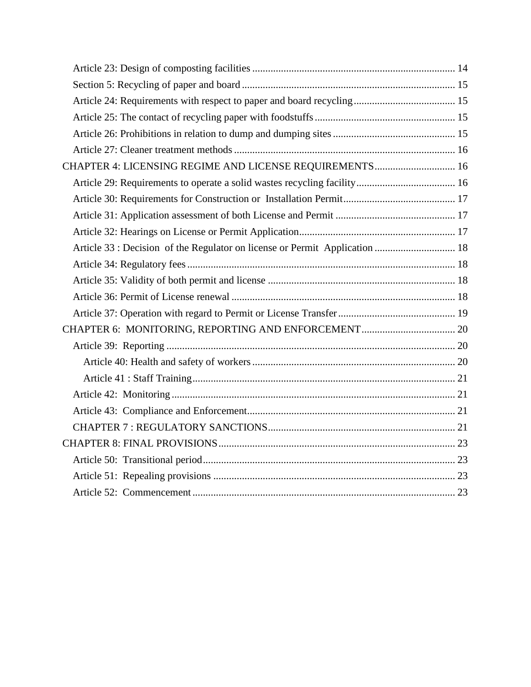| CHAPTER 4: LICENSING REGIME AND LICENSE REQUIREMENTS 16                     |  |
|-----------------------------------------------------------------------------|--|
|                                                                             |  |
|                                                                             |  |
|                                                                             |  |
|                                                                             |  |
| Article 33 : Decision of the Regulator on license or Permit Application  18 |  |
|                                                                             |  |
|                                                                             |  |
|                                                                             |  |
|                                                                             |  |
|                                                                             |  |
|                                                                             |  |
|                                                                             |  |
|                                                                             |  |
|                                                                             |  |
|                                                                             |  |
|                                                                             |  |
|                                                                             |  |
|                                                                             |  |
|                                                                             |  |
|                                                                             |  |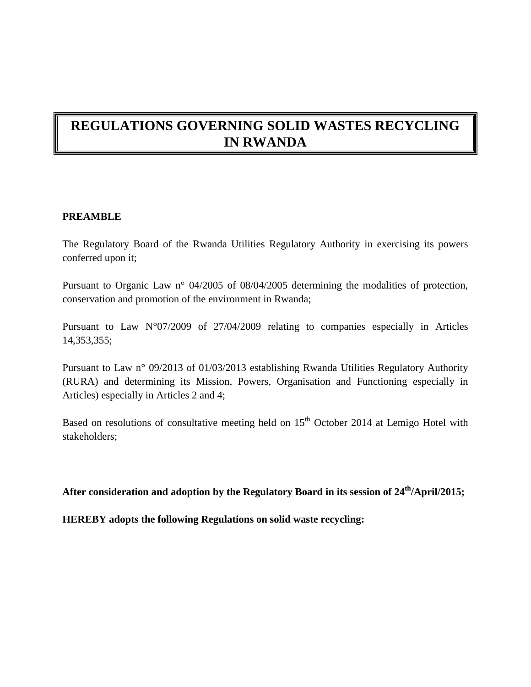# **REGULATIONS GOVERNING SOLID WASTES RECYCLING IN RWANDA**

#### <span id="page-3-0"></span>**PREAMBLE**

The Regulatory Board of the Rwanda Utilities Regulatory Authority in exercising its powers conferred upon it;

Pursuant to Organic Law n° 04/2005 of 08/04/2005 determining the modalities of protection, conservation and promotion of the environment in Rwanda;

Pursuant to Law N°07/2009 of 27/04/2009 relating to companies especially in Articles 14,353,355;

Pursuant to Law n° 09/2013 of 01/03/2013 establishing Rwanda Utilities Regulatory Authority (RURA) and determining its Mission, Powers, Organisation and Functioning especially in Articles) especially in Articles 2 and 4;

Based on resolutions of consultative meeting held on  $15<sup>th</sup>$  October 2014 at Lemigo Hotel with stakeholders;

**After consideration and adoption by the Regulatory Board in its session of 24th/April/2015;**

**HEREBY adopts the following Regulations on solid waste recycling:**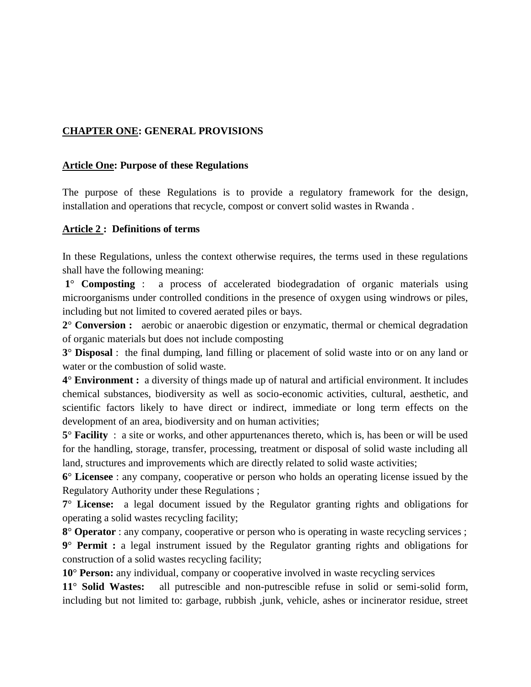## <span id="page-4-0"></span>**CHAPTER ONE: GENERAL PROVISIONS**

#### <span id="page-4-1"></span>**Article One: Purpose of these Regulations**

The purpose of these Regulations is to provide a regulatory framework for the design, installation and operations that recycle, compost or convert solid wastes in Rwanda .

#### <span id="page-4-2"></span>**Article 2 : Definitions of terms**

In these Regulations, unless the context otherwise requires, the terms used in these regulations shall have the following meaning:

**1**° **Composting** : a process of accelerated biodegradation of organic materials using microorganisms under controlled conditions in the presence of oxygen using windrows or piles, including but not limited to covered aerated piles or bays.

**2**° **Conversion :** aerobic or anaerobic digestion or enzymatic, thermal or chemical degradation of organic materials but does not include composting

**3**° **Disposal** : the final dumping, land filling or placement of solid waste into or on any land or water or the combustion of solid waste.

**4**° **Environment :** a diversity of things made up of natural and artificial environment. It includes chemical substances, biodiversity as well as socio-economic activities, cultural, aesthetic, and scientific factors likely to have direct or indirect, immediate or long term effects on the development of an area, biodiversity and on human activities;

**5**° **Facility** : a site or works, and other appurtenances thereto, which is, has been or will be used for the handling, storage, transfer, processing, treatment or disposal of solid waste including all land, structures and improvements which are directly related to solid waste activities;

**6**° **Licensee** : any company, cooperative or person who holds an operating license issued by the Regulatory Authority under these Regulations ;

**7**° **License:** a legal document issued by the Regulator granting rights and obligations for operating a solid wastes recycling facility;

**8**° **Operator** : any company, cooperative or person who is operating in waste recycling services ;

**9**° **Permit :** a legal instrument issued by the Regulator granting rights and obligations for construction of a solid wastes recycling facility;

**10**° **Person:** any individual, company or cooperative involved in waste recycling services

**11**° **Solid Wastes:** all putrescible and non-putrescible refuse in solid or semi-solid form, including but not limited to: garbage, rubbish ,junk, vehicle, ashes or incinerator residue, street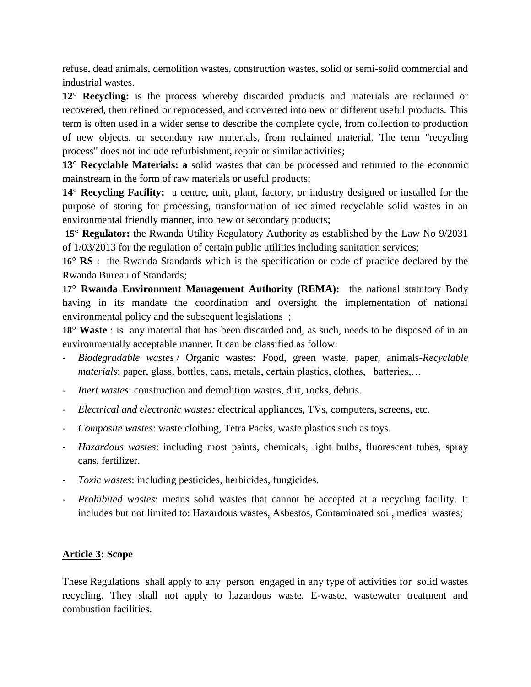refuse, dead animals, demolition wastes, construction wastes, solid or semi-solid commercial and industrial wastes.

**12**° **Recycling:** is the process whereby discarded products and materials are reclaimed or recovered, then refined or reprocessed, and converted into new or different useful products. This term is often used in a wider sense to describe the complete cycle, from collection to production of new objects, or secondary raw materials, from reclaimed material. The term "recycling process" does not include refurbishment, repair or similar activities;

**13**° **Recyclable Materials: a** solid wastes that can be processed and returned to the economic mainstream in the form of raw materials or useful products;

**14**° **Recycling Facility:** a centre, unit, plant, factory, or industry designed or installed for the purpose of storing for processing, transformation of reclaimed recyclable solid wastes in an environmental friendly manner, into new or secondary products;

**15**° **Regulator:** the Rwanda Utility Regulatory Authority as established by the Law No 9/2031 of 1/03/2013 for the regulation of certain public utilities including sanitation services;

**16**° **RS** : the Rwanda Standards which is the specification or code of practice declared by the Rwanda Bureau of Standards;

**17**° **Rwanda Environment Management Authority (REMA):** the national statutory Body having in its mandate the coordination and oversight the implementation of national environmental policy and the subsequent legislations ;

**18**° **Waste** : is any material that has been discarded and, as such, needs to be disposed of in an environmentally acceptable manner. It can be classified as follow:

- *[Biodegradable wastes](http://en.wikipedia.org/wiki/Biodegradable_waste)* / Organic wastes: [Food,](http://en.wikipedia.org/wiki/Food_waste) [green waste,](http://en.wikipedia.org/wiki/Green_waste) [paper,](http://en.wikipedia.org/wiki/Paper) animals-*[Recyclable](http://en.wikipedia.org/wiki/Recycling) materials*: paper, [glass,](http://en.wikipedia.org/wiki/Glass) [bottles,](http://en.wikipedia.org/wiki/Bottle) [cans,](http://en.wikipedia.org/wiki/Tin_can) [metals,](http://en.wikipedia.org/wiki/Metal) certain plastics, clothes, batteries,...
- *[Inert](http://en.wikipedia.org/wiki/Inert) wastes:* [construction and demolition wastes](http://en.wikipedia.org/wiki/Construction_and_demolition_waste), [dirt,](http://en.wikipedia.org/wiki/Soil) [rocks,](http://en.wikipedia.org/wiki/Rock_%28geology%29) debris.
- *Electrical and [electronic wastes](http://en.wikipedia.org/wiki/Electronic_waste):* electrical appliances, TVs, computers, screens, etc.
- *Composite wastes*: waste [clothing,](http://en.wikipedia.org/wiki/Clothing) Tetra Packs, waste plastics such as toys.
- *[Hazardous wastes](http://en.wikipedia.org/wiki/Hazardous_waste)*: including most [paints,](http://en.wikipedia.org/wiki/Paint) [chemicals,](http://en.wikipedia.org/wiki/Chemical) [light bulbs,](http://en.wikipedia.org/wiki/Light_bulb) [fluorescent tubes,](http://en.wikipedia.org/wiki/Fluorescent_tube) [spray](http://en.wikipedia.org/wiki/Spray_can)  [cans,](http://en.wikipedia.org/wiki/Spray_can) [fertilizer.](http://en.wikipedia.org/wiki/Fertilizer)
- *[Toxic wastes](http://en.wikipedia.org/wiki/Toxic_waste):* including [pesticides](http://en.wikipedia.org/wiki/Pesticide), [herbicides,](http://en.wikipedia.org/wiki/Herbicides) [fungicides.](http://en.wikipedia.org/wiki/Fungicides)
- *Prohibited wastes*: means solid wastes that cannot be accepted at a recycling facility. It includes but not limited to: Hazardous wastes, Asbestos, Contaminated soil, medical wastes;

## <span id="page-5-0"></span>**Article 3: Scope**

These Regulations shall apply to any person engaged in any type of activities for solid wastes recycling. They shall not apply to hazardous waste, E-waste, wastewater treatment and combustion facilities.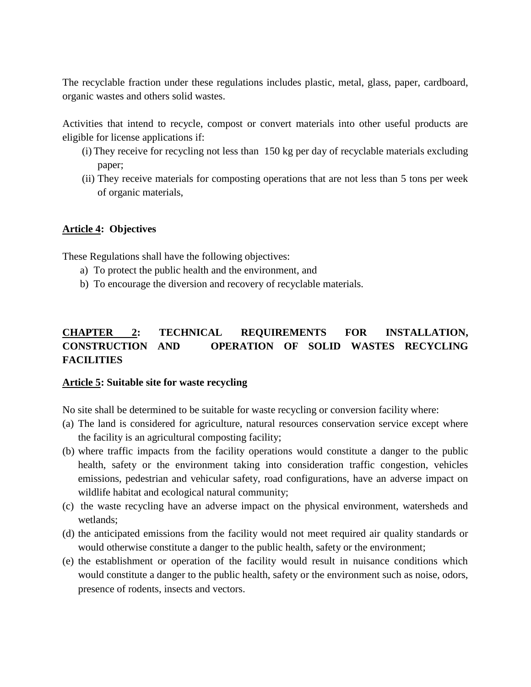The recyclable fraction under these regulations includes plastic, metal, glass, paper, cardboard, organic wastes and others solid wastes.

Activities that intend to recycle, compost or convert materials into other useful products are eligible for license applications if:

- (i) They receive for recycling not less than 150 kg per day of recyclable materials excluding paper;
- (ii) They receive materials for composting operations that are not less than 5 tons per week of organic materials,

#### <span id="page-6-0"></span>**Article 4: Objectives**

These Regulations shall have the following objectives:

- a) To protect the public health and the environment, and
- b) To encourage the diversion and recovery of recyclable materials.

# <span id="page-6-1"></span>**CHAPTER 2: TECHNICAL REQUIREMENTS FOR INSTALLATION, CONSTRUCTION AND OPERATION OF SOLID WASTES RECYCLING FACILITIES**

#### <span id="page-6-2"></span>**Article 5: Suitable site for waste recycling**

No site shall be determined to be suitable for waste recycling or conversion facility where:

- (a) The land is considered for agriculture, natural resources conservation service except where the facility is an agricultural composting facility;
- (b) where traffic impacts from the facility operations would constitute a danger to the public health, safety or the environment taking into consideration traffic congestion, vehicles emissions, pedestrian and vehicular safety, road configurations, have an adverse impact on wildlife habitat and ecological natural community;
- (c) the waste recycling have an adverse impact on the physical environment, watersheds and wetlands;
- (d) the anticipated emissions from the facility would not meet required air quality standards or would otherwise constitute a danger to the public health, safety or the environment;
- (e) the establishment or operation of the facility would result in nuisance conditions which would constitute a danger to the public health, safety or the environment such as noise, odors, presence of rodents, insects and vectors.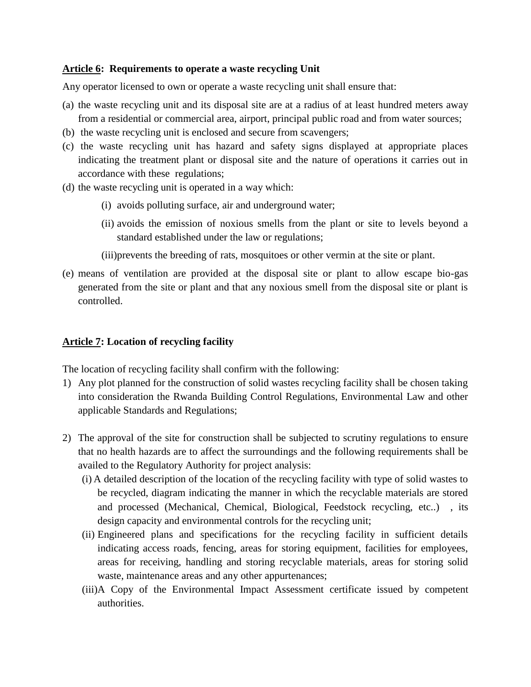#### <span id="page-7-0"></span>**Article 6: Requirements to operate a waste recycling Unit**

Any operator licensed to own or operate a waste recycling unit shall ensure that:

- (a) the waste recycling unit and its disposal site are at a radius of at least hundred meters away from a residential or commercial area, airport, principal public road and from water sources;
- (b) the waste recycling unit is enclosed and secure from scavengers;
- (c) the waste recycling unit has hazard and safety signs displayed at appropriate places indicating the treatment plant or disposal site and the nature of operations it carries out in accordance with these regulations;
- (d) the waste recycling unit is operated in a way which:
	- (i) avoids polluting surface, air and underground water;
	- (ii) avoids the emission of noxious smells from the plant or site to levels beyond a standard established under the law or regulations;
	- (iii)prevents the breeding of rats, mosquitoes or other vermin at the site or plant.
- (e) means of ventilation are provided at the disposal site or plant to allow escape bio-gas generated from the site or plant and that any noxious smell from the disposal site or plant is controlled.

#### <span id="page-7-1"></span>**Article 7: Location of recycling facility**

The location of recycling facility shall confirm with the following:

- 1) Any plot planned for the construction of solid wastes recycling facility shall be chosen taking into consideration the Rwanda Building Control Regulations, Environmental Law and other applicable Standards and Regulations;
- 2) The approval of the site for construction shall be subjected to scrutiny regulations to ensure that no health hazards are to affect the surroundings and the following requirements shall be availed to the Regulatory Authority for project analysis:
	- (i) A detailed description of the location of the recycling facility with type of solid wastes to be recycled, diagram indicating the manner in which the recyclable materials are stored and processed (Mechanical, Chemical, Biological, Feedstock recycling, etc..) , its design capacity and environmental controls for the recycling unit;
	- (ii) Engineered plans and specifications for the recycling facility in sufficient details indicating access roads, fencing, areas for storing equipment, facilities for employees, areas for receiving, handling and storing recyclable materials, areas for storing solid waste, maintenance areas and any other appurtenances;
	- (iii)A Copy of the Environmental Impact Assessment certificate issued by competent authorities.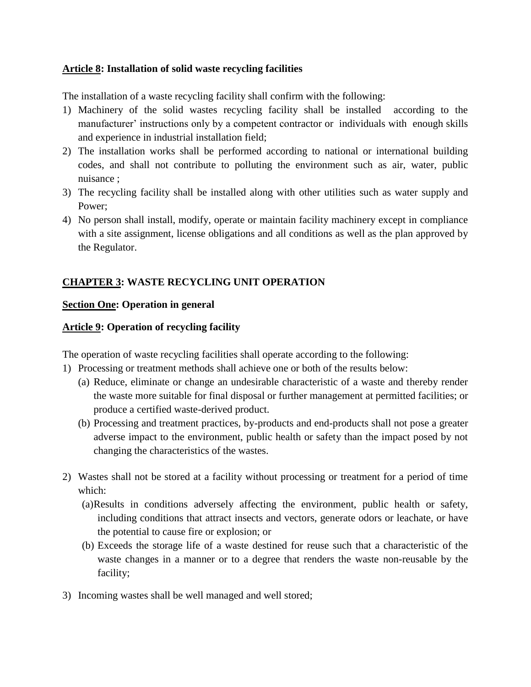## <span id="page-8-0"></span>**Article 8: Installation of solid waste recycling facilities**

The installation of a waste recycling facility shall confirm with the following:

- 1) Machinery of the solid wastes recycling facility shall be installed according to the manufacturer' instructions only by a competent contractor or individuals with enough skills and experience in industrial installation field;
- 2) The installation works shall be performed according to national or international building codes, and shall not contribute to polluting the environment such as air, water, public nuisance ;
- 3) The recycling facility shall be installed along with other utilities such as water supply and Power;
- 4) No person shall install, modify, operate or maintain facility machinery except in compliance with a site assignment, license obligations and all conditions as well as the plan approved by the Regulator.

# <span id="page-8-1"></span>**CHAPTER 3: WASTE RECYCLING UNIT OPERATION**

## <span id="page-8-2"></span>**Section One: Operation in general**

#### <span id="page-8-3"></span>**Article 9: Operation of recycling facility**

The operation of waste recycling facilities shall operate according to the following:

- 1) Processing or treatment methods shall achieve one or both of the results below:
	- (a) Reduce, eliminate or change an undesirable characteristic of a waste and thereby render the waste more suitable for final disposal or further management at permitted facilities; or produce a certified waste-derived product.
	- (b) Processing and treatment practices, by-products and end-products shall not pose a greater adverse impact to the environment, public health or safety than the impact posed by not changing the characteristics of the wastes.
- 2) Wastes shall not be stored at a facility without processing or treatment for a period of time which:
	- (a)Results in conditions adversely affecting the environment, public health or safety, including conditions that attract insects and vectors, generate odors or leachate, or have the potential to cause fire or explosion; or
	- (b) Exceeds the storage life of a waste destined for reuse such that a characteristic of the waste changes in a manner or to a degree that renders the waste non-reusable by the facility;
- 3) Incoming wastes shall be well managed and well stored;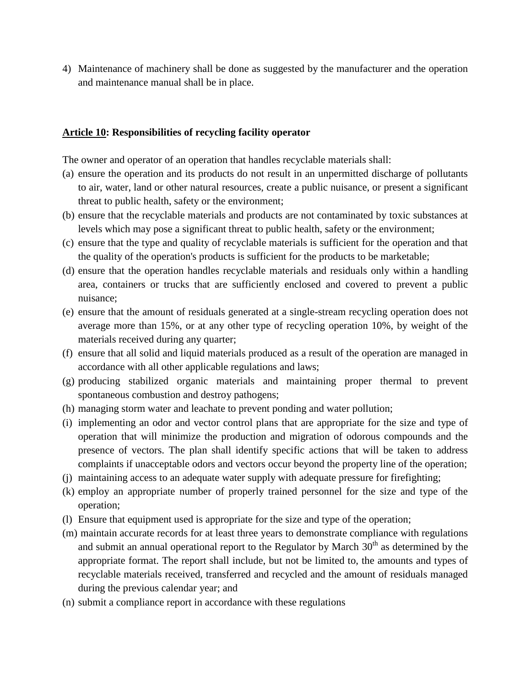4) Maintenance of machinery shall be done as suggested by the manufacturer and the operation and maintenance manual shall be in place.

#### <span id="page-9-0"></span>**Article 10: Responsibilities of recycling facility operator**

The owner and operator of an operation that handles recyclable materials shall:

- (a) ensure the operation and its products do not result in an unpermitted discharge of pollutants to air, water, land or other natural resources, create a public nuisance, or present a significant threat to public health, safety or the environment;
- (b) ensure that the recyclable materials and products are not contaminated by toxic substances at levels which may pose a significant threat to public health, safety or the environment;
- (c) ensure that the type and quality of recyclable materials is sufficient for the operation and that the quality of the operation's products is sufficient for the products to be marketable;
- (d) ensure that the operation handles recyclable materials and residuals only within a handling area, containers or trucks that are sufficiently enclosed and covered to prevent a public nuisance;
- (e) ensure that the amount of residuals generated at a single-stream recycling operation does not average more than 15%, or at any other type of recycling operation 10%, by weight of the materials received during any quarter;
- (f) ensure that all solid and liquid materials produced as a result of the operation are managed in accordance with all other applicable regulations and laws;
- (g) producing stabilized organic materials and maintaining proper thermal to prevent spontaneous combustion and destroy pathogens;
- (h) managing storm water and leachate to prevent ponding and water pollution;
- (i) implementing an odor and vector control plans that are appropriate for the size and type of operation that will minimize the production and migration of odorous compounds and the presence of vectors. The plan shall identify specific actions that will be taken to address complaints if unacceptable odors and vectors occur beyond the property line of the operation;
- (j) maintaining access to an adequate water supply with adequate pressure for firefighting;
- (k) employ an appropriate number of properly trained personnel for the size and type of the operation;
- (l) Ensure that equipment used is appropriate for the size and type of the operation;
- (m) maintain accurate records for at least three years to demonstrate compliance with regulations and submit an annual operational report to the Regulator by March  $30<sup>th</sup>$  as determined by the appropriate format. The report shall include, but not be limited to, the amounts and types of recyclable materials received, transferred and recycled and the amount of residuals managed during the previous calendar year; and
- (n) submit a compliance report in accordance with these regulations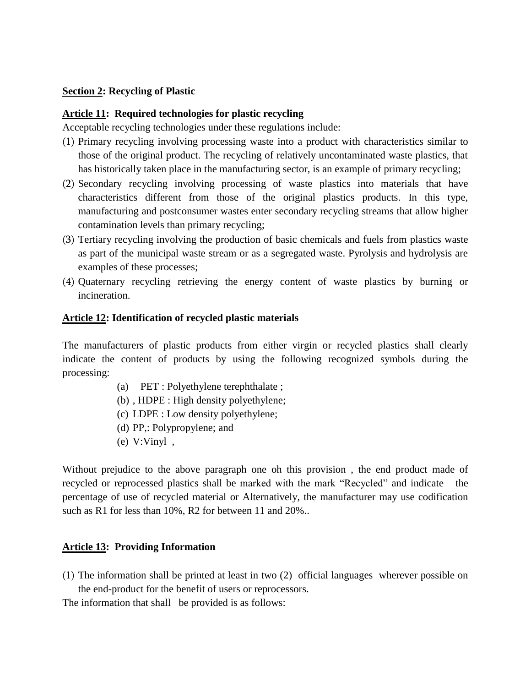#### <span id="page-10-0"></span>**Section 2: Recycling of Plastic**

#### <span id="page-10-1"></span>**Article 11: Required technologies for plastic recycling**

Acceptable recycling technologies under these regulations include:

- (1) Primary recycling involving processing waste into a product with characteristics similar to those of the original product. The recycling of relatively uncontaminated waste plastics, that has historically taken place in the manufacturing sector, is an example of primary recycling;
- (2) Secondary recycling involving processing of waste plastics into materials that have characteristics different from those of the original plastics products. In this type, manufacturing and postconsumer wastes enter secondary recycling streams that allow higher contamination levels than primary recycling;
- (3) Tertiary recycling involving the production of basic chemicals and fuels from plastics waste as part of the municipal waste stream or as a segregated waste. Pyrolysis and hydrolysis are examples of these processes;
- (4) Quaternary recycling retrieving the energy content of waste plastics by burning or incineration.

#### <span id="page-10-2"></span>**Article 12: Identification of recycled plastic materials**

The manufacturers of plastic products from either virgin or recycled plastics shall clearly indicate the content of products by using the following recognized symbols during the processing:

- (a) PET : Polyethylene terephthalate ;
- (b) , HDPE : High density polyethylene;
- (c) LDPE : Low density polyethylene;
- (d) PP,: Polypropylene; and
- (e) V:Vinyl ,

Without prejudice to the above paragraph one oh this provision , the end product made of recycled or reprocessed plastics shall be marked with the mark "Recycled" and indicate the percentage of use of recycled material or Alternatively, the manufacturer may use codification such as R1 for less than 10%, R2 for between 11 and 20%..

## <span id="page-10-3"></span>**Article 13: Providing Information**

(1) The information shall be printed at least in two (2) official languages wherever possible on the end-product for the benefit of users or reprocessors.

The information that shall be provided is as follows: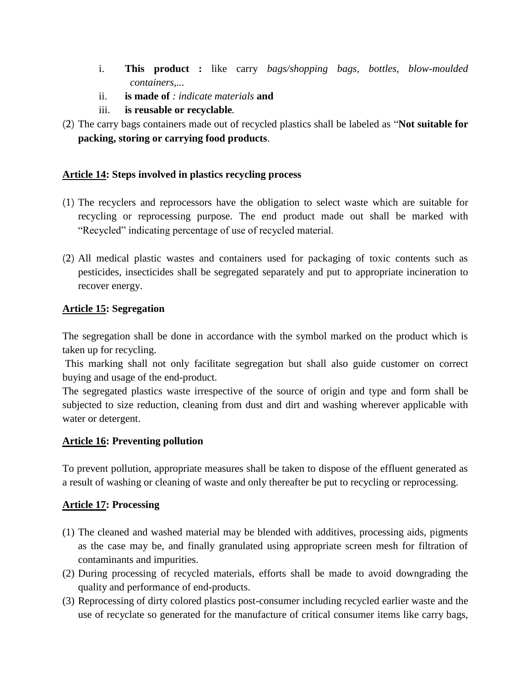- i. **This product :** like carry *bags/shopping bags, bottles, blow-moulded containers,...*
- ii. **is made of** *: indicate materials* **and**
- iii. **is reusable or recyclable***.*
- (2) The carry bags containers made out of recycled plastics shall be labeled as "**Not suitable for packing, storing or carrying food products**.

## <span id="page-11-0"></span>**Article 14: Steps involved in plastics recycling process**

- (1) The recyclers and reprocessors have the obligation to select waste which are suitable for recycling or reprocessing purpose. The end product made out shall be marked with "Recycled" indicating percentage of use of recycled material.
- (2) All medical plastic wastes and containers used for packaging of toxic contents such as pesticides, insecticides shall be segregated separately and put to appropriate incineration to recover energy.

## <span id="page-11-1"></span>**Article 15: Segregation**

The segregation shall be done in accordance with the symbol marked on the product which is taken up for recycling.

This marking shall not only facilitate segregation but shall also guide customer on correct buying and usage of the end-product.

The segregated plastics waste irrespective of the source of origin and type and form shall be subjected to size reduction, cleaning from dust and dirt and washing wherever applicable with water or detergent.

## <span id="page-11-2"></span>**Article 16: Preventing pollution**

To prevent pollution, appropriate measures shall be taken to dispose of the effluent generated as a result of washing or cleaning of waste and only thereafter be put to recycling or reprocessing.

# <span id="page-11-3"></span>**Article 17: Processing**

- (1) The cleaned and washed material may be blended with additives, processing aids, pigments as the case may be, and finally granulated using appropriate screen mesh for filtration of contaminants and impurities.
- (2) During processing of recycled materials, efforts shall be made to avoid downgrading the quality and performance of end-products.
- (3) Reprocessing of dirty colored plastics post-consumer including recycled earlier waste and the use of recyclate so generated for the manufacture of critical consumer items like carry bags,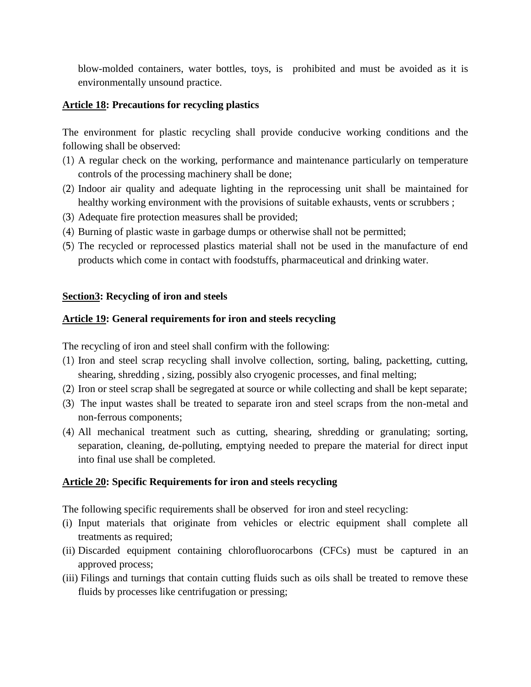blow-molded containers, water bottles, toys, is prohibited and must be avoided as it is environmentally unsound practice.

## <span id="page-12-0"></span>**Article 18: Precautions for recycling plastics**

The environment for plastic recycling shall provide conducive working conditions and the following shall be observed:

- (1) A regular check on the working, performance and maintenance particularly on temperature controls of the processing machinery shall be done;
- (2) Indoor air quality and adequate lighting in the reprocessing unit shall be maintained for healthy working environment with the provisions of suitable exhausts, vents or scrubbers ;
- (3) Adequate fire protection measures shall be provided;
- (4) Burning of plastic waste in garbage dumps or otherwise shall not be permitted;
- (5) The recycled or reprocessed plastics material shall not be used in the manufacture of end products which come in contact with foodstuffs, pharmaceutical and drinking water.

## <span id="page-12-1"></span>**Section3: Recycling of iron and steels**

## <span id="page-12-2"></span>**Article 19: General requirements for iron and steels recycling**

The recycling of iron and steel shall confirm with the following:

- (1) Iron and steel scrap recycling shall involve collection, sorting, baling, packetting, cutting, shearing, shredding , sizing, possibly also cryogenic processes, and final melting;
- (2) Iron or steel scrap shall be segregated at source or while collecting and shall be kept separate;
- (3) The input wastes shall be treated to separate iron and steel scraps from the non-metal and non-ferrous components;
- (4) All mechanical treatment such as cutting, shearing, shredding or granulating; sorting, separation, cleaning, de-polluting, emptying needed to prepare the material for direct input into final use shall be completed.

# <span id="page-12-3"></span>**Article 20: Specific Requirements for iron and steels recycling**

The following specific requirements shall be observed for iron and steel recycling:

- (i) Input materials that originate from vehicles or electric equipment shall complete all treatments as required;
- (ii) Discarded equipment containing chlorofluorocarbons (CFCs) must be captured in an approved process;
- (iii) Filings and turnings that contain cutting fluids such as oils shall be treated to remove these fluids by processes like centrifugation or pressing;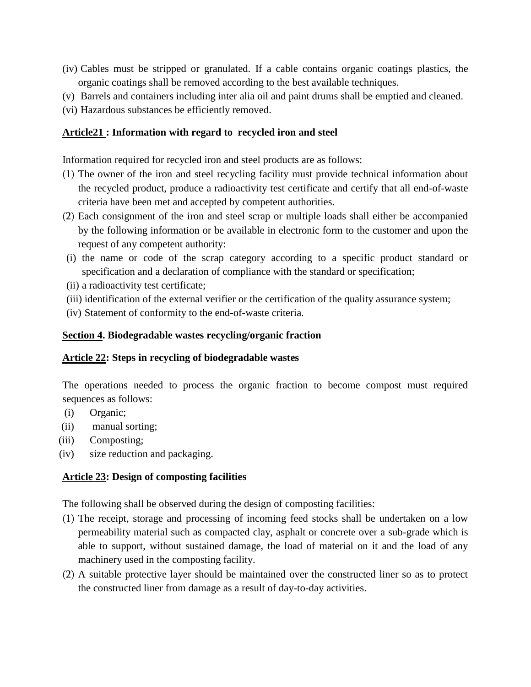- (iv) Cables must be stripped or granulated. If a cable contains organic coatings plastics, the organic coatings shall be removed according to the best available techniques.
- (v) Barrels and containers including inter alia oil and paint drums shall be emptied and cleaned.
- (vi) Hazardous substances be efficiently removed.

## <span id="page-13-0"></span>**Article21 : Information with regard to recycled iron and steel**

Information required for recycled iron and steel products are as follows:

- (1) The owner of the iron and steel recycling facility must provide technical information about the recycled product, produce a radioactivity test certificate and certify that all end-of-waste criteria have been met and accepted by competent authorities.
- (2) Each consignment of the iron and steel scrap or multiple loads shall either be accompanied by the following information or be available in electronic form to the customer and upon the request of any competent authority:
- (i) the name or code of the scrap category according to a specific product standard or specification and a declaration of compliance with the standard or specification;
- (ii) a radioactivity test certificate;
- (iii) identification of the external verifier or the certification of the quality assurance system;
- (iv) Statement of conformity to the end-of-waste criteria.

## <span id="page-13-1"></span>**Section 4. Biodegradable wastes recycling/organic fraction**

## <span id="page-13-2"></span>**Article 22: Steps in recycling of biodegradable wastes**

The operations needed to process the organic fraction to become compost must required sequences as follows:

- (i) Organic;
- (ii) manual sorting;
- (iii) Composting;
- (iv) size reduction and packaging.

# <span id="page-13-3"></span>**Article 23: Design of composting facilities**

The following shall be observed during the design of composting facilities:

- (1) The receipt, storage and processing of incoming feed stocks shall be undertaken on a low permeability material such as compacted clay, asphalt or concrete over a sub-grade which is able to support, without sustained damage, the load of material on it and the load of any machinery used in the composting facility.
- (2) A suitable protective layer should be maintained over the constructed liner so as to protect the constructed liner from damage as a result of day-to-day activities.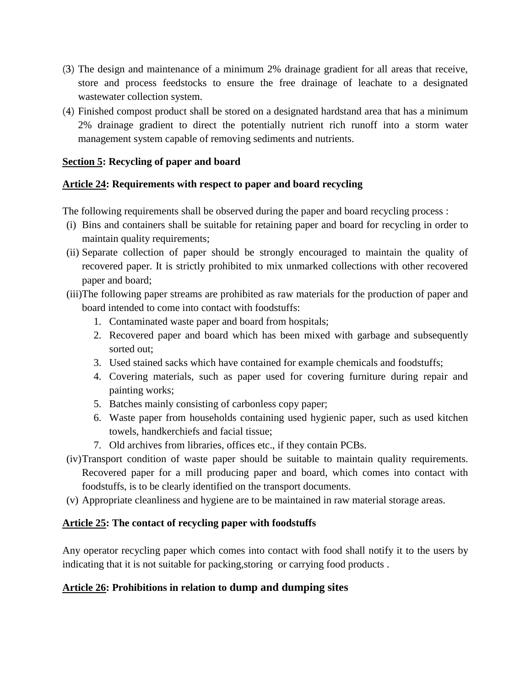- (3) The design and maintenance of a minimum 2% drainage gradient for all areas that receive, store and process feedstocks to ensure the free drainage of leachate to a designated wastewater collection system.
- (4) Finished compost product shall be stored on a designated hardstand area that has a minimum 2% drainage gradient to direct the potentially nutrient rich runoff into a storm water management system capable of removing sediments and nutrients.

## <span id="page-14-0"></span>**Section 5: Recycling of paper and board**

## <span id="page-14-1"></span>**Article 24: Requirements with respect to paper and board recycling**

The following requirements shall be observed during the paper and board recycling process :

- (i) Bins and containers shall be suitable for retaining paper and board for recycling in order to maintain quality requirements;
- (ii) Separate collection of paper should be strongly encouraged to maintain the quality of recovered paper. It is strictly prohibited to mix unmarked collections with other recovered paper and board;
- (iii)The following paper streams are prohibited as raw materials for the production of paper and board intended to come into contact with foodstuffs:
	- 1. Contaminated waste paper and board from hospitals;
	- 2. Recovered paper and board which has been mixed with garbage and subsequently sorted out;
	- 3. Used stained sacks which have contained for example chemicals and foodstuffs;
	- 4. Covering materials, such as paper used for covering furniture during repair and painting works;
	- 5. Batches mainly consisting of carbonless copy paper;
	- 6. Waste paper from households containing used hygienic paper, such as used kitchen towels, handkerchiefs and facial tissue;
	- 7. Old archives from libraries, offices etc., if they contain PCBs.
- (iv)Transport condition of waste paper should be suitable to maintain quality requirements. Recovered paper for a mill producing paper and board, which comes into contact with foodstuffs, is to be clearly identified on the transport documents.
- (v) Appropriate cleanliness and hygiene are to be maintained in raw material storage areas.

## <span id="page-14-2"></span>**Article 25: The contact of recycling paper with foodstuffs**

Any operator recycling paper which comes into contact with food shall notify it to the users by indicating that it is not suitable for packing,storing or carrying food products .

## <span id="page-14-3"></span>**Article 26: Prohibitions in relation to dump and dumping sites**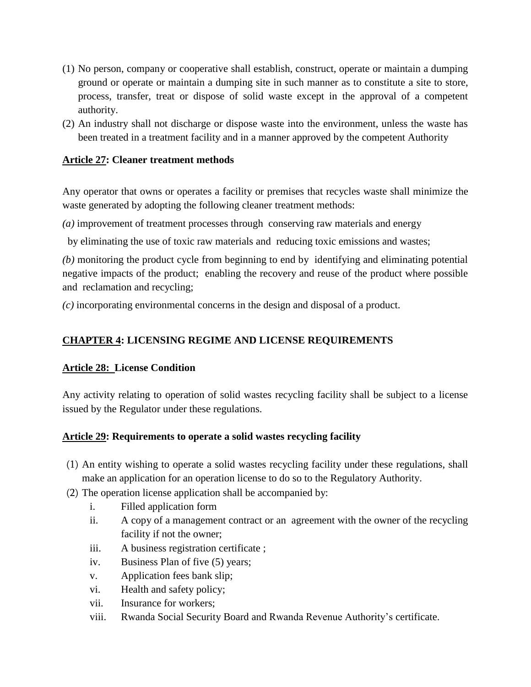- (1) No person, company or cooperative shall establish, construct, operate or maintain a dumping ground or operate or maintain a dumping site in such manner as to constitute a site to store, process, transfer, treat or dispose of solid waste except in the approval of a competent authority.
- (2) An industry shall not discharge or dispose waste into the environment, unless the waste has been treated in a treatment facility and in a manner approved by the competent Authority

## <span id="page-15-0"></span>**Article 27: Cleaner treatment methods**

Any operator that owns or operates a facility or premises that recycles waste shall minimize the waste generated by adopting the following cleaner treatment methods:

*(a)* improvement of treatment processes through conserving raw materials and energy

by eliminating the use of toxic raw materials and reducing toxic emissions and wastes;

*(b)* monitoring the product cycle from beginning to end by identifying and eliminating potential negative impacts of the product; enabling the recovery and reuse of the product where possible and reclamation and recycling;

*(c)* incorporating environmental concerns in the design and disposal of a product.

## <span id="page-15-1"></span>**CHAPTER 4: LICENSING REGIME AND LICENSE REQUIREMENTS**

## **Article 28: License Condition**

Any activity relating to operation of solid wastes recycling facility shall be subject to a license issued by the Regulator under these regulations.

## <span id="page-15-2"></span>**Article 29: Requirements to operate a solid wastes recycling facility**

- (1) An entity wishing to operate a solid wastes recycling facility under these regulations, shall make an application for an operation license to do so to the Regulatory Authority.
- (2) The operation license application shall be accompanied by:
	- i. Filled application form
	- ii. A copy of a management contract or an agreement with the owner of the recycling facility if not the owner;
	- iii. A business registration certificate ;
	- iv. Business Plan of five (5) years;
	- v. Application fees bank slip;
	- vi. Health and safety policy;
	- vii. Insurance for workers;
	- viii. Rwanda Social Security Board and Rwanda Revenue Authority's certificate.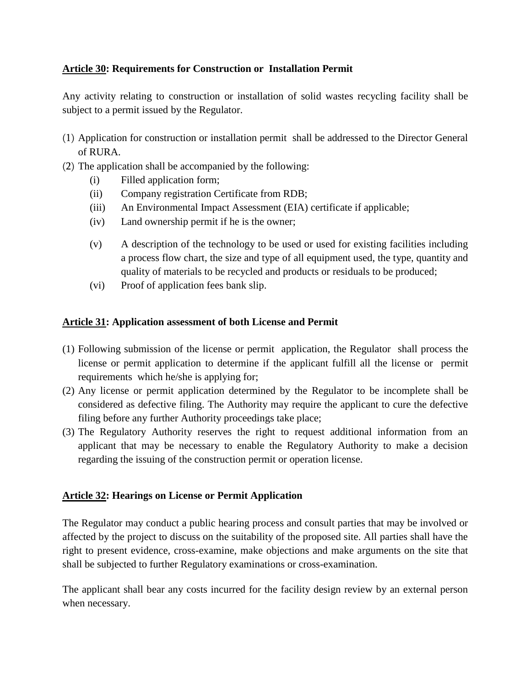## <span id="page-16-0"></span>**Article 30: Requirements for Construction or Installation Permit**

Any activity relating to construction or installation of solid wastes recycling facility shall be subject to a permit issued by the Regulator.

- (1) Application for construction or installation permit shall be addressed to the Director General of RURA.
- (2) The application shall be accompanied by the following:
	- (i) Filled application form;
	- (ii) Company registration Certificate from RDB;
	- (iii) An Environmental Impact Assessment (EIA) certificate if applicable;
	- (iv) Land ownership permit if he is the owner;
	- (v) A description of the technology to be used or used for existing facilities including a process flow chart, the size and type of all equipment used, the type, quantity and quality of materials to be recycled and products or residuals to be produced;
	- (vi) Proof of application fees bank slip.

## <span id="page-16-1"></span>**Article 31: Application assessment of both License and Permit**

- (1) Following submission of the license or permit application, the Regulator shall process the license or permit application to determine if the applicant fulfill all the license or permit requirements which he/she is applying for;
- (2) Any license or permit application determined by the Regulator to be incomplete shall be considered as defective filing. The Authority may require the applicant to cure the defective filing before any further Authority proceedings take place;
- (3) The Regulatory Authority reserves the right to request additional information from an applicant that may be necessary to enable the Regulatory Authority to make a decision regarding the issuing of the construction permit or operation license.

## <span id="page-16-2"></span>**Article 32: Hearings on License or Permit Application**

The Regulator may conduct a public hearing process and consult parties that may be involved or affected by the project to discuss on the suitability of the proposed site. All parties shall have the right to present evidence, cross-examine, make objections and make arguments on the site that shall be subjected to further Regulatory examinations or cross-examination.

The applicant shall bear any costs incurred for the facility design review by an external person when necessary.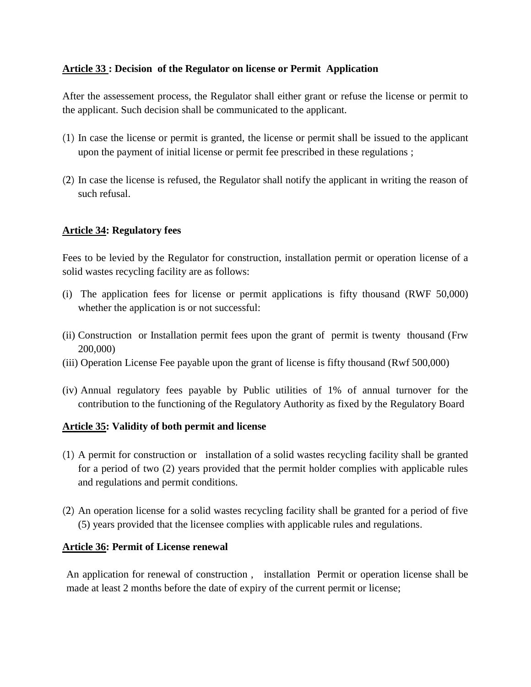#### <span id="page-17-0"></span>**Article 33 : Decision of the Regulator on license or Permit Application**

After the assessement process, the Regulator shall either grant or refuse the license or permit to the applicant. Such decision shall be communicated to the applicant.

- (1) In case the license or permit is granted, the license or permit shall be issued to the applicant upon the payment of initial license or permit fee prescribed in these regulations ;
- (2) In case the license is refused, the Regulator shall notify the applicant in writing the reason of such refusal.

#### <span id="page-17-1"></span>**Article 34: Regulatory fees**

Fees to be levied by the Regulator for construction, installation permit or operation license of a solid wastes recycling facility are as follows:

- (i) The application fees for license or permit applications is fifty thousand (RWF 50,000) whether the application is or not successful:
- (ii) Construction or Installation permit fees upon the grant of permit is twenty thousand (Frw 200,000)
- (iii) Operation License Fee payable upon the grant of license is fifty thousand (Rwf 500,000)
- (iv) Annual regulatory fees payable by Public utilities of 1% of annual turnover for the contribution to the functioning of the Regulatory Authority as fixed by the Regulatory Board

## <span id="page-17-2"></span>**Article 35: Validity of both permit and license**

- (1) A permit for construction or installation of a solid wastes recycling facility shall be granted for a period of two (2) years provided that the permit holder complies with applicable rules and regulations and permit conditions.
- (2) An operation license for a solid wastes recycling facility shall be granted for a period of five (5) years provided that the licensee complies with applicable rules and regulations.

#### <span id="page-17-3"></span>**Article 36: Permit of License renewal**

An application for renewal of construction , installation Permit or operation license shall be made at least 2 months before the date of expiry of the current permit or license;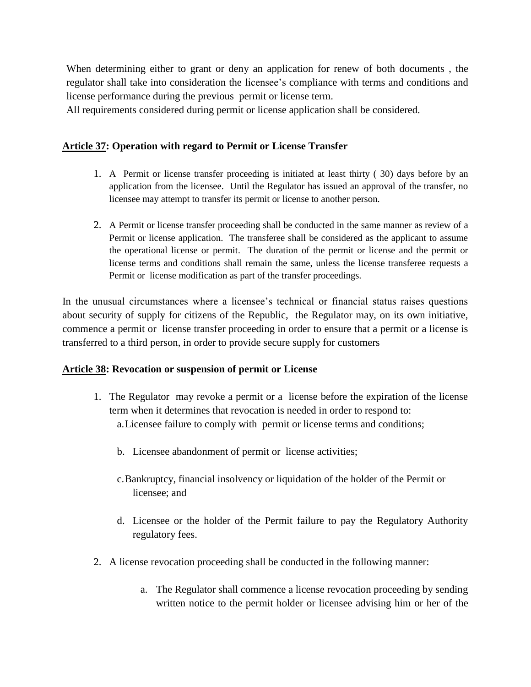When determining either to grant or deny an application for renew of both documents , the regulator shall take into consideration the licensee's compliance with terms and conditions and license performance during the previous permit or license term.

All requirements considered during permit or license application shall be considered.

#### <span id="page-18-0"></span>**Article 37: Operation with regard to Permit or License Transfer**

- 1. A Permit or license transfer proceeding is initiated at least thirty ( 30) days before by an application from the licensee. Until the Regulator has issued an approval of the transfer, no licensee may attempt to transfer its permit or license to another person.
- 2. A Permit or license transfer proceeding shall be conducted in the same manner as review of a Permit or license application. The transferee shall be considered as the applicant to assume the operational license or permit. The duration of the permit or license and the permit or license terms and conditions shall remain the same, unless the license transferee requests a Permit or license modification as part of the transfer proceedings.

In the unusual circumstances where a licensee's technical or financial status raises questions about security of supply for citizens of the Republic, the Regulator may, on its own initiative, commence a permit or license transfer proceeding in order to ensure that a permit or a license is transferred to a third person, in order to provide secure supply for customers

#### **Article 38: Revocation or suspension of permit or License**

- 1. The Regulator may revoke a permit or a license before the expiration of the license term when it determines that revocation is needed in order to respond to: a.Licensee failure to comply with permit or license terms and conditions;
	- b. Licensee abandonment of permit or license activities;
	- c.Bankruptcy, financial insolvency or liquidation of the holder of the Permit or licensee; and
	- d. Licensee or the holder of the Permit failure to pay the Regulatory Authority regulatory fees.
- 2. A license revocation proceeding shall be conducted in the following manner:
	- a. The Regulator shall commence a license revocation proceeding by sending written notice to the permit holder or licensee advising him or her of the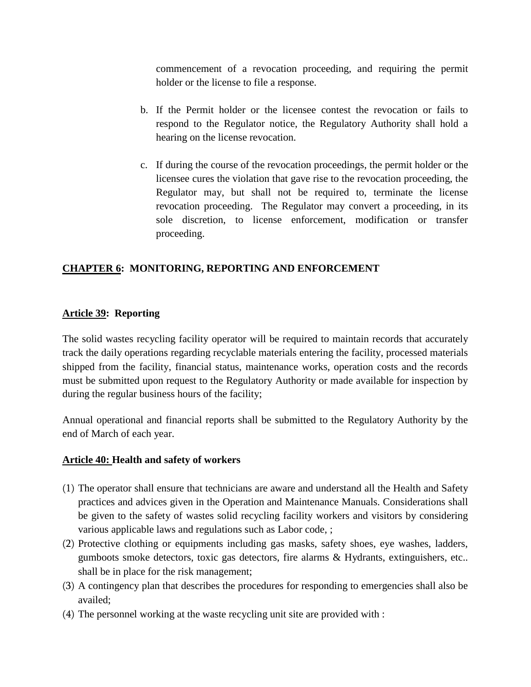commencement of a revocation proceeding, and requiring the permit holder or the license to file a response.

- b. If the Permit holder or the licensee contest the revocation or fails to respond to the Regulator notice, the Regulatory Authority shall hold a hearing on the license revocation.
- c. If during the course of the revocation proceedings, the permit holder or the licensee cures the violation that gave rise to the revocation proceeding, the Regulator may, but shall not be required to, terminate the license revocation proceeding. The Regulator may convert a proceeding, in its sole discretion, to license enforcement, modification or transfer proceeding.

## <span id="page-19-0"></span>**CHAPTER 6: MONITORING, REPORTING AND ENFORCEMENT**

## <span id="page-19-1"></span>**Article 39: Reporting**

The solid wastes recycling facility operator will be required to maintain records that accurately track the daily operations regarding recyclable materials entering the facility, processed materials shipped from the facility, financial status, maintenance works, operation costs and the records must be submitted upon request to the Regulatory Authority or made available for inspection by during the regular business hours of the facility;

Annual operational and financial reports shall be submitted to the Regulatory Authority by the end of March of each year.

#### <span id="page-19-2"></span>**Article 40: Health and safety of workers**

- (1) The operator shall ensure that technicians are aware and understand all the Health and Safety practices and advices given in the Operation and Maintenance Manuals. Considerations shall be given to the safety of wastes solid recycling facility workers and visitors by considering various applicable laws and regulations such as Labor code, ;
- (2) Protective clothing or equipments including gas masks, safety shoes, eye washes, ladders, gumboots smoke detectors, toxic gas detectors, fire alarms & Hydrants, extinguishers, etc.. shall be in place for the risk management;
- (3) A contingency plan that describes the procedures for responding to emergencies shall also be availed;
- (4) The personnel working at the waste recycling unit site are provided with :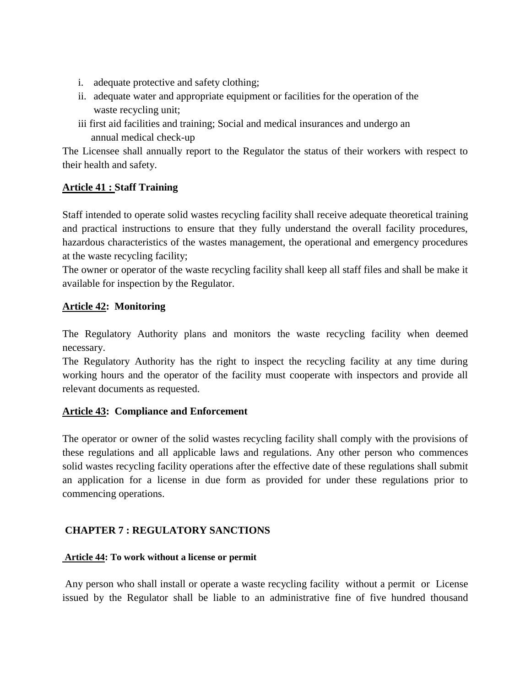- i. adequate protective and safety clothing;
- ii. adequate water and appropriate equipment or facilities for the operation of the waste recycling unit;
- iii first aid facilities and training; Social and medical insurances and undergo an annual medical check-up

The Licensee shall annually report to the Regulator the status of their workers with respect to their health and safety.

## <span id="page-20-0"></span>**Article 41 : Staff Training**

Staff intended to operate solid wastes recycling facility shall receive adequate theoretical training and practical instructions to ensure that they fully understand the overall facility procedures, hazardous characteristics of the wastes management, the operational and emergency procedures at the waste recycling facility;

The owner or operator of the waste recycling facility shall keep all staff files and shall be make it available for inspection by the Regulator.

## <span id="page-20-1"></span>**Article 42: Monitoring**

The Regulatory Authority plans and monitors the waste recycling facility when deemed necessary.

The Regulatory Authority has the right to inspect the recycling facility at any time during working hours and the operator of the facility must cooperate with inspectors and provide all relevant documents as requested.

## <span id="page-20-2"></span>**Article 43: Compliance and Enforcement**

The operator or owner of the solid wastes recycling facility shall comply with the provisions of these regulations and all applicable laws and regulations. Any other person who commences solid wastes recycling facility operations after the effective date of these regulations shall submit an application for a license in due form as provided for under these regulations prior to commencing operations.

## <span id="page-20-3"></span>**CHAPTER 7 : REGULATORY SANCTIONS**

## **Article 44: To work without a license or permit**

Any person who shall install or operate a waste recycling facility without a permit or License issued by the Regulator shall be liable to an administrative fine of five hundred thousand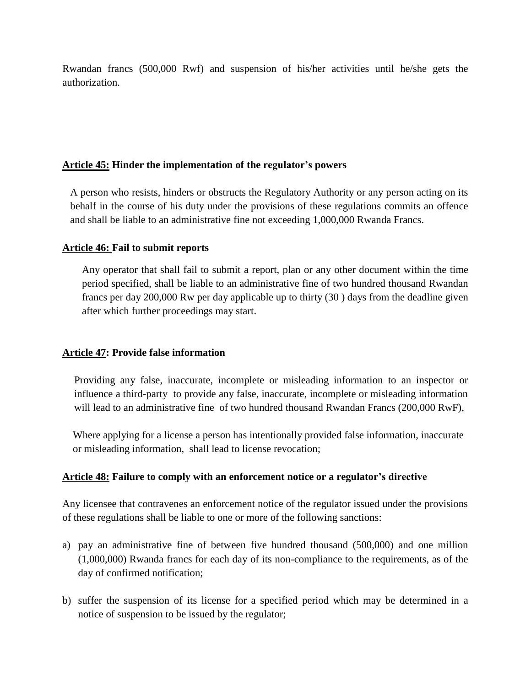Rwandan francs (500,000 Rwf) and suspension of his/her activities until he/she gets the authorization.

#### **Article 45: Hinder the implementation of the regulator's powers**

A person who resists, hinders or obstructs the Regulatory Authority or any person acting on its behalf in the course of his duty under the provisions of these regulations commits an offence and shall be liable to an administrative fine not exceeding 1,000,000 Rwanda Francs.

#### **Article 46: Fail to submit reports**

Any operator that shall fail to submit a report, plan or any other document within the time period specified, shall be liable to an administrative fine of two hundred thousand Rwandan francs per day 200,000 Rw per day applicable up to thirty (30 ) days from the deadline given after which further proceedings may start.

#### **Article 47: Provide false information**

Providing any false, inaccurate, incomplete or misleading information to an inspector or influence a third-party to provide any false, inaccurate, incomplete or misleading information will lead to an administrative fine of two hundred thousand Rwandan Francs (200,000 RwF),

 Where applying for a license a person has intentionally provided false information, inaccurate or misleading information, shall lead to license revocation;

#### **Article 48: Failure to comply with an enforcement notice or a regulator's directive**

Any licensee that contravenes an enforcement notice of the regulator issued under the provisions of these regulations shall be liable to one or more of the following sanctions:

- a) pay an administrative fine of between five hundred thousand (500,000) and one million (1,000,000) Rwanda francs for each day of its non-compliance to the requirements, as of the day of confirmed notification;
- b) suffer the suspension of its license for a specified period which may be determined in a notice of suspension to be issued by the regulator;